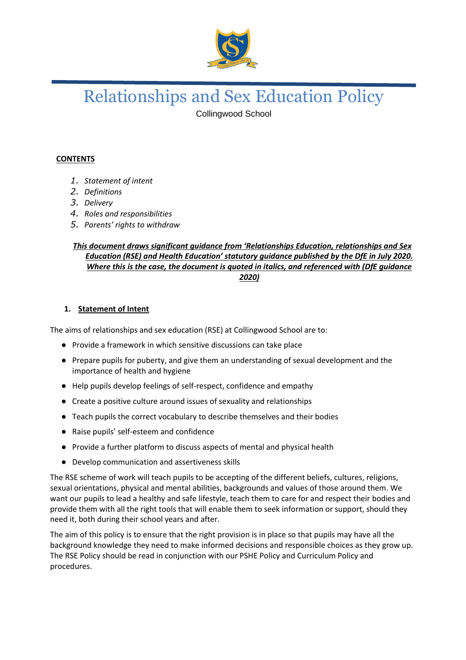

# Relationships and Sex Education Policy

Collingwood School

## **CONTENTS**

- *1. Statement of intent*
- *2. Definitions*
- *3. Delivery*
- *4. Roles and responsibilities*
- *5. Parents' rights to withdraw*

### *This document draws significant guidance from 'Relationships Education, relationships and Sex Education (RSE) and Health Education' statutory guidance published by the DfE in July 2020. Where this is the case, the document is quoted in italics, and referenced with (DfE guidance 2020)*

#### **1. Statement of Intent**

The aims of relationships and sex education (RSE) at Collingwood School are to:

- Provide a framework in which sensitive discussions can take place
- Prepare pupils for puberty, and give them an understanding of sexual development and the importance of health and hygiene
- Help pupils develop feelings of self-respect, confidence and empathy
- Create a positive culture around issues of sexuality and relationships
- Teach pupils the correct vocabulary to describe themselves and their bodies
- Raise pupils' self-esteem and confidence
- Provide a further platform to discuss aspects of mental and physical health
- Develop communication and assertiveness skills

The RSE scheme of work will teach pupils to be accepting of the different beliefs, cultures, religions, sexual orientations, physical and mental abilities, backgrounds and values of those around them. We want our pupils to lead a healthy and safe lifestyle, teach them to care for and respect their bodies and provide them with all the right tools that will enable them to seek information or support, should they need it, both during their school years and after.

The aim of this policy is to ensure that the right provision is in place so that pupils may have all the background knowledge they need to make informed decisions and responsible choices as they grow up. The RSE Policy should be read in conjunction with our PSHE Policy and Curriculum Policy and procedures.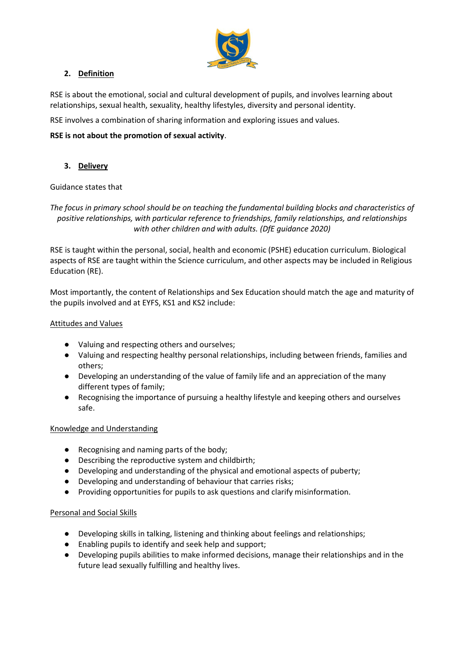

## **2. Definition**

RSE is about the emotional, social and cultural development of pupils, and involves learning about relationships, sexual health, sexuality, healthy lifestyles, diversity and personal identity.

RSE involves a combination of sharing information and exploring issues and values.

#### **RSE is not about the promotion of sexual activity**.

### **3. Delivery**

#### Guidance states that

*The focus in primary school should be on teaching the fundamental building blocks and characteristics of positive relationships, with particular reference to friendships, family relationships, and relationships with other children and with adults. (DfE guidance 2020)*

RSE is taught within the personal, social, health and economic (PSHE) education curriculum. Biological aspects of RSE are taught within the Science curriculum, and other aspects may be included in Religious Education (RE).

Most importantly, the content of Relationships and Sex Education should match the age and maturity of the pupils involved and at EYFS, KS1 and KS2 include:

#### Attitudes and Values

- Valuing and respecting others and ourselves;
- Valuing and respecting healthy personal relationships, including between friends, families and others;
- Developing an understanding of the value of family life and an appreciation of the many different types of family;
- Recognising the importance of pursuing a healthy lifestyle and keeping others and ourselves safe.

#### Knowledge and Understanding

- Recognising and naming parts of the body;
- Describing the reproductive system and childbirth;
- Developing and understanding of the physical and emotional aspects of puberty;
- Developing and understanding of behaviour that carries risks;
- Providing opportunities for pupils to ask questions and clarify misinformation.

#### Personal and Social Skills

- Developing skills in talking, listening and thinking about feelings and relationships;
- Enabling pupils to identify and seek help and support;
- Developing pupils abilities to make informed decisions, manage their relationships and in the future lead sexually fulfilling and healthy lives.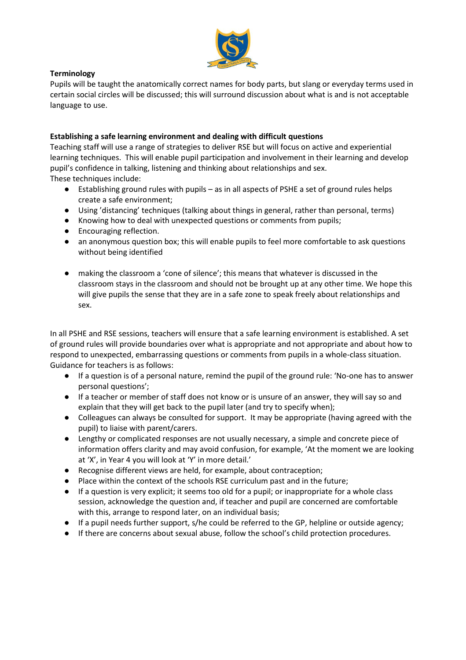

### **Terminology**

Pupils will be taught the anatomically correct names for body parts, but slang or everyday terms used in certain social circles will be discussed; this will surround discussion about what is and is not acceptable language to use.

### **Establishing a safe learning environment and dealing with difficult questions**

Teaching staff will use a range of strategies to deliver RSE but will focus on active and experiential learning techniques. This will enable pupil participation and involvement in their learning and develop pupil's confidence in talking, listening and thinking about relationships and sex. These techniques include:

- Establishing ground rules with pupils as in all aspects of PSHE a set of ground rules helps create a safe environment;
- Using 'distancing' techniques (talking about things in general, rather than personal, terms)
- Knowing how to deal with unexpected questions or comments from pupils;
- Encouraging reflection.
- an anonymous question box; this will enable pupils to feel more comfortable to ask questions without being identified
- making the classroom a 'cone of silence'; this means that whatever is discussed in the classroom stays in the classroom and should not be brought up at any other time. We hope this will give pupils the sense that they are in a safe zone to speak freely about relationships and sex.

In all PSHE and RSE sessions, teachers will ensure that a safe learning environment is established. A set of ground rules will provide boundaries over what is appropriate and not appropriate and about how to respond to unexpected, embarrassing questions or comments from pupils in a whole-class situation. Guidance for teachers is as follows:

- If a question is of a personal nature, remind the pupil of the ground rule: 'No-one has to answer personal questions';
- If a teacher or member of staff does not know or is unsure of an answer, they will say so and explain that they will get back to the pupil later (and try to specify when);
- Colleagues can always be consulted for support. It may be appropriate (having agreed with the pupil) to liaise with parent/carers.
- Lengthy or complicated responses are not usually necessary, a simple and concrete piece of information offers clarity and may avoid confusion, for example, 'At the moment we are looking at 'X', in Year 4 you will look at 'Y' in more detail.'
- Recognise different views are held, for example, about contraception;
- Place within the context of the schools RSE curriculum past and in the future;
- If a question is very explicit; it seems too old for a pupil; or inappropriate for a whole class session, acknowledge the question and, if teacher and pupil are concerned are comfortable with this, arrange to respond later, on an individual basis;
- If a pupil needs further support, s/he could be referred to the GP, helpline or outside agency;
- If there are concerns about sexual abuse, follow the school's child protection procedures.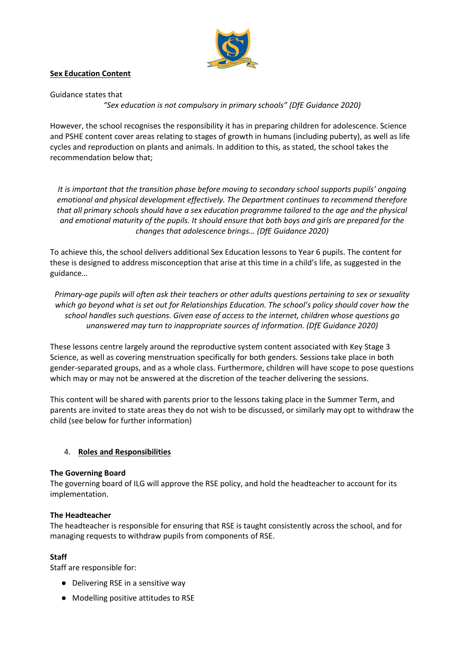

### **Sex Education Content**

Guidance states that

*"Sex education is not compulsory in primary schools" (DfE Guidance 2020)*

However, the school recognises the responsibility it has in preparing children for adolescence. Science and PSHE content cover areas relating to stages of growth in humans (including puberty), as well as life cycles and reproduction on plants and animals. In addition to this, as stated, the school takes the recommendation below that;

*It is important that the transition phase before moving to secondary school supports pupils' ongoing emotional and physical development effectively. The Department continues to recommend therefore that all primary schools should have a sex education programme tailored to the age and the physical and emotional maturity of the pupils. It should ensure that both boys and girls are prepared for the changes that adolescence brings… (DfE Guidance 2020)*

To achieve this, the school delivers additional Sex Education lessons to Year 6 pupils. The content for these is designed to address misconception that arise at this time in a child's life, as suggested in the guidance…

*Primary-age pupils will often ask their teachers or other adults questions pertaining to sex or sexuality which go beyond what is set out for Relationships Education. The school's policy should cover how the school handles such questions. Given ease of access to the internet, children whose questions go unanswered may turn to inappropriate sources of information. (DfE Guidance 2020)*

These lessons centre largely around the reproductive system content associated with Key Stage 3 Science, as well as covering menstruation specifically for both genders. Sessions take place in both gender-separated groups, and as a whole class. Furthermore, children will have scope to pose questions which may or may not be answered at the discretion of the teacher delivering the sessions.

This content will be shared with parents prior to the lessons taking place in the Summer Term, and parents are invited to state areas they do not wish to be discussed, or similarly may opt to withdraw the child (see below for further information)

#### 4. **Roles and Responsibilities**

#### **The Governing Board**

The governing board of ILG will approve the RSE policy, and hold the headteacher to account for its implementation.

#### **The Headteacher**

The headteacher is responsible for ensuring that RSE is taught consistently across the school, and for managing requests to withdraw pupils from components of RSE.

#### **Staff**

Staff are responsible for:

- Delivering RSE in a sensitive way
- Modelling positive attitudes to RSE